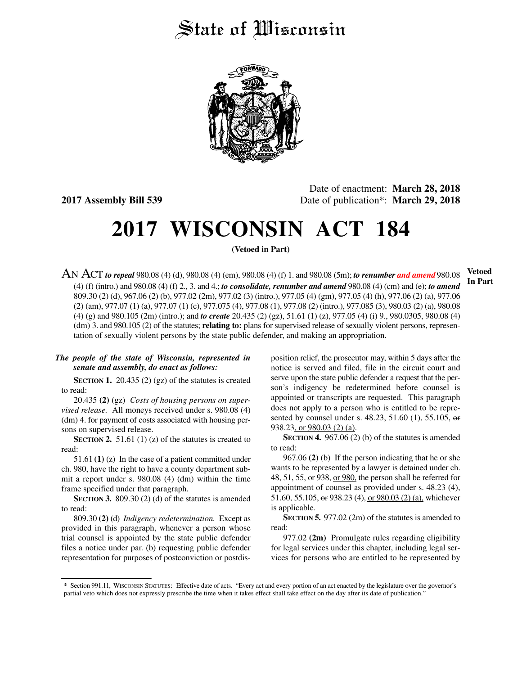## State of Wisconsin



Date of enactment: **March 28, 2018 2017 Assembly Bill 539** Date of publication\*: **March 29, 2018**

# **2017 WISCONSIN ACT 184**

**(Vetoed in Part)**

AN ACT *to repeal* 980.08 (4) (d), 980.08 (4) (em), 980.08 (4) (f) 1. and 980.08 (5m); *to renumber and amend* 980.08 (4) (f) (intro.) and 980.08 (4) (f) 2., 3. and 4.; *to consolidate, renumber and amend* 980.08 (4) (cm) and (e); *to amend* 809.30 (2) (d), 967.06 (2) (b), 977.02 (2m), 977.02 (3) (intro.), 977.05 (4) (gm), 977.05 (4) (h), 977.06 (2) (a), 977.06 (2) (am), 977.07 (1) (a), 977.07 (1) (c), 977.075 (4), 977.08 (1), 977.08 (2) (intro.), 977.085 (3), 980.03 (2) (a), 980.08 (4) (g) and 980.105 (2m) (intro.); and *to create* 20.435 (2) (gz), 51.61 (1) (z), 977.05 (4) (i) 9., 980.0305, 980.08 (4) (dm) 3. and 980.105 (2) of the statutes; **relating to:** plans for supervised release of sexually violent persons, representation of sexually violent persons by the state public defender, and making an appropriation.

### *The people of the state of Wisconsin, represented in senate and assembly, do enact as follows:*

**SECTION 1.** 20.435 (2) (gz) of the statutes is created to read:

20.435 **(2)** (gz) *Costs of housing persons on supervised release.* All moneys received under s. 980.08 (4) (dm) 4. for payment of costs associated with housing persons on supervised release.

**SECTION 2.** 51.61 (1) (z) of the statutes is created to read:

51.61 **(1)** (z) In the case of a patient committed under ch. 980, have the right to have a county department submit a report under s. 980.08 (4) (dm) within the time frame specified under that paragraph.

**SECTION 3.** 809.30 (2) (d) of the statutes is amended to read:

809.30 **(2)** (d) *Indigency redetermination.* Except as provided in this paragraph, whenever a person whose trial counsel is appointed by the state public defender files a notice under par. (b) requesting public defender representation for purposes of postconviction or postdisposition relief, the prosecutor may, within 5 days after the notice is served and filed, file in the circuit court and serve upon the state public defender a request that the person's indigency be redetermined before counsel is appointed or transcripts are requested. This paragraph does not apply to a person who is entitled to be represented by counsel under s. 48.23, 51.60 (1), 55.105, or 938.23, or 980.03 (2) (a).

**SECTION 4.** 967.06 (2) (b) of the statutes is amended to read:

967.06 **(2)** (b) If the person indicating that he or she wants to be represented by a lawyer is detained under ch. 48, 51, 55, or 938, or 980, the person shall be referred for appointment of counsel as provided under s. 48.23 (4), 51.60, 55.105, or 938.23 (4), or 980.03 (2) (a), whichever is applicable.

**SECTION 5.** 977.02 (2m) of the statutes is amended to read:

977.02 **(2m)** Promulgate rules regarding eligibility for legal services under this chapter, including legal services for persons who are entitled to be represented by

**Vetoed In Part**

<sup>\*</sup> Section 991.11, WISCONSIN STATUTES: Effective date of acts. "Every act and every portion of an act enacted by the legislature over the governor's partial veto which does not expressly prescribe the time when it takes effect shall take effect on the day after its date of publication."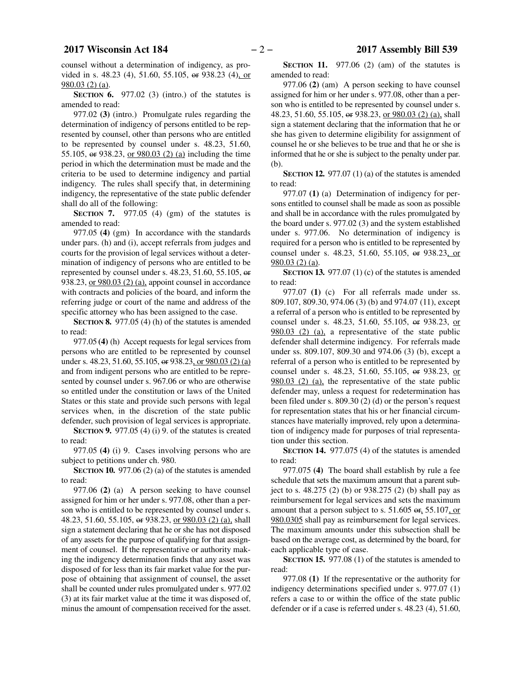counsel without a determination of indigency, as provided in s. 48.23 (4), 51.60, 55.105, or 938.23 (4), or 980.03 (2) (a).

**SECTION 6.** 977.02 (3) (intro.) of the statutes is amended to read:

977.02 **(3)** (intro.) Promulgate rules regarding the determination of indigency of persons entitled to be represented by counsel, other than persons who are entitled to be represented by counsel under s. 48.23, 51.60, 55.105, or 938.23, or 980.03 (2) (a) including the time period in which the determination must be made and the criteria to be used to determine indigency and partial indigency. The rules shall specify that, in determining indigency, the representative of the state public defender shall do all of the following:

**SECTION 7.** 977.05 (4) (gm) of the statutes is amended to read:

977.05 **(4)** (gm) In accordance with the standards under pars. (h) and (i), accept referrals from judges and courts for the provision of legal services without a determination of indigency of persons who are entitled to be represented by counsel under s. 48.23, 51.60, 55.105, or 938.23, or 980.03 (2) (a), appoint counsel in accordance with contracts and policies of the board, and inform the referring judge or court of the name and address of the specific attorney who has been assigned to the case.

**SECTION 8.** 977.05 (4) (h) of the statutes is amended to read:

977.05 **(4)** (h) Accept requests for legal services from persons who are entitled to be represented by counsel under s. 48.23, 51.60, 55.105, or 938.23, or 980.03 (2) (a) and from indigent persons who are entitled to be represented by counsel under s. 967.06 or who are otherwise so entitled under the constitution or laws of the United States or this state and provide such persons with legal services when, in the discretion of the state public defender, such provision of legal services is appropriate.

**SECTION 9.** 977.05 (4) (i) 9. of the statutes is created to read:

977.05 **(4)** (i) 9. Cases involving persons who are subject to petitions under ch. 980.

**SECTION 10.** 977.06 (2) (a) of the statutes is amended to read:

977.06 **(2)** (a) A person seeking to have counsel assigned for him or her under s. 977.08, other than a person who is entitled to be represented by counsel under s. 48.23, 51.60, 55.105, or 938.23, or 980.03 (2) (a), shall sign a statement declaring that he or she has not disposed of any assets for the purpose of qualifying for that assignment of counsel. If the representative or authority making the indigency determination finds that any asset was disposed of for less than its fair market value for the purpose of obtaining that assignment of counsel, the asset shall be counted under rules promulgated under s. 977.02 (3) at its fair market value at the time it was disposed of, minus the amount of compensation received for the asset.

**SECTION 11.** 977.06 (2) (am) of the statutes is amended to read:

977.06 **(2)** (am) A person seeking to have counsel assigned for him or her under s. 977.08, other than a person who is entitled to be represented by counsel under s. 48.23, 51.60, 55.105, or 938.23, or 980.03 (2) (a), shall sign a statement declaring that the information that he or she has given to determine eligibility for assignment of counsel he or she believes to be true and that he or she is informed that he or she is subject to the penalty under par. (b).

**SECTION 12.** 977.07 (1) (a) of the statutes is amended to read:

977.07 **(1)** (a) Determination of indigency for persons entitled to counsel shall be made as soon as possible and shall be in accordance with the rules promulgated by the board under s. 977.02 (3) and the system established under s. 977.06. No determination of indigency is required for a person who is entitled to be represented by counsel under s. 48.23, 51.60, 55.105, or 938.23, or 980.03 (2) (a).

**SECTION 13.** 977.07 (1) (c) of the statutes is amended to read:

977.07 **(1)** (c) For all referrals made under ss. 809.107, 809.30, 974.06 (3) (b) and 974.07 (11), except a referral of a person who is entitled to be represented by counsel under s. 48.23, 51.60, 55.105, or 938.23, or 980.03 (2) (a), a representative of the state public defender shall determine indigency. For referrals made under ss. 809.107, 809.30 and 974.06 (3) (b), except a referral of a person who is entitled to be represented by counsel under s. 48.23, 51.60, 55.105, or 938.23, or 980.03 (2) (a), the representative of the state public defender may, unless a request for redetermination has been filed under s. 809.30 (2) (d) or the person's request for representation states that his or her financial circumstances have materially improved, rely upon a determination of indigency made for purposes of trial representation under this section.

**SECTION 14.** 977.075 (4) of the statutes is amended to read:

977.075 **(4)** The board shall establish by rule a fee schedule that sets the maximum amount that a parent subject to s. 48.275 (2) (b) or 938.275 (2) (b) shall pay as reimbursement for legal services and sets the maximum amount that a person subject to s. 51.605 or, 55.107, or 980.0305 shall pay as reimbursement for legal services. The maximum amounts under this subsection shall be based on the average cost, as determined by the board, for each applicable type of case.

**SECTION 15.** 977.08 (1) of the statutes is amended to read:

977.08 **(1)** If the representative or the authority for indigency determinations specified under s. 977.07 (1) refers a case to or within the office of the state public defender or if a case is referred under s. 48.23 (4), 51.60,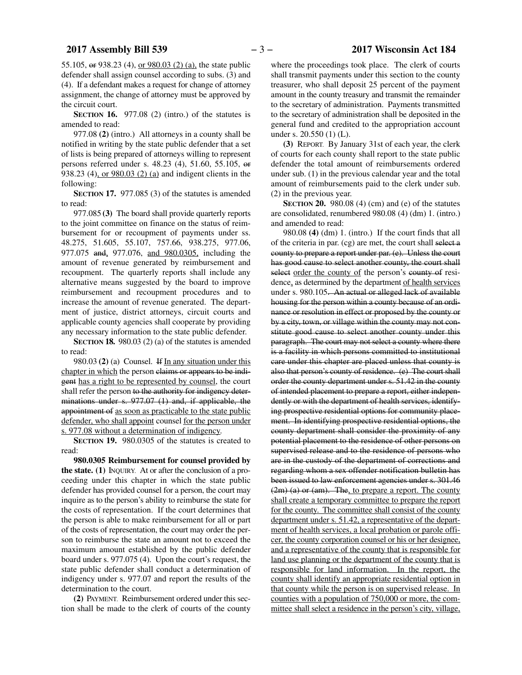55.105, or 938.23 (4), or 980.03 (2) (a), the state public defender shall assign counsel according to subs. (3) and (4). If a defendant makes a request for change of attorney assignment, the change of attorney must be approved by the circuit court.

**SECTION 16.** 977.08 (2) (intro.) of the statutes is amended to read:

977.08 **(2)** (intro.) All attorneys in a county shall be notified in writing by the state public defender that a set of lists is being prepared of attorneys willing to represent persons referred under s. 48.23 (4), 51.60, 55.105, or 938.23 (4), or 980.03 (2) (a) and indigent clients in the following:

**SECTION 17.** 977.085 (3) of the statutes is amended to read:

977.085 **(3)** The board shall provide quarterly reports to the joint committee on finance on the status of reimbursement for or recoupment of payments under ss. 48.275, 51.605, 55.107, 757.66, 938.275, 977.06, 977.075 and, 977.076, and 980.0305, including the amount of revenue generated by reimbursement and recoupment. The quarterly reports shall include any alternative means suggested by the board to improve reimbursement and recoupment procedures and to increase the amount of revenue generated. The department of justice, district attorneys, circuit courts and applicable county agencies shall cooperate by providing any necessary information to the state public defender.

**SECTION 18.** 980.03 (2) (a) of the statutes is amended to read:

980.03 **(2)** (a) Counsel. If In any situation under this chapter in which the person claims or appears to be indigent has a right to be represented by counsel, the court shall refer the person to the authority for indigency determinations under s. 977.07 (1) and, if applicable, the appointment of as soon as practicable to the state public defender, who shall appoint counsel for the person under s. 977.08 without a determination of indigency.

**SECTION 19.** 980.0305 of the statutes is created to read:

**980.0305 Reimbursement for counsel provided by the state. (1)** INQUIRY. At or after the conclusion of a proceeding under this chapter in which the state public defender has provided counsel for a person, the court may inquire as to the person's ability to reimburse the state for the costs of representation. If the court determines that the person is able to make reimbursement for all or part of the costs of representation, the court may order the person to reimburse the state an amount not to exceed the maximum amount established by the public defender board under s. 977.075 (4). Upon the court's request, the state public defender shall conduct a determination of indigency under s. 977.07 and report the results of the determination to the court.

**(2)** PAYMENT. Reimbursement ordered under this section shall be made to the clerk of courts of the county

where the proceedings took place. The clerk of courts shall transmit payments under this section to the county treasurer, who shall deposit 25 percent of the payment amount in the county treasury and transmit the remainder to the secretary of administration. Payments transmitted to the secretary of administration shall be deposited in the general fund and credited to the appropriation account under s. 20.550 (1) (L).

**(3)** REPORT. By January 31st of each year, the clerk of courts for each county shall report to the state public defender the total amount of reimbursements ordered under sub. (1) in the previous calendar year and the total amount of reimbursements paid to the clerk under sub. (2) in the previous year.

**SECTION 20.** 980.08 (4) (cm) and (e) of the statutes are consolidated, renumbered 980.08 (4) (dm) 1. (intro.) and amended to read:

980.08 **(4)** (dm) 1. (intro.) If the court finds that all of the criteria in par. (cg) are met, the court shall select a county to prepare a report under par. (e). Unless the court has good cause to select another county, the court shall select order the county of the person's county of residence, as determined by the department of health services under s. 980.105. An actual or alleged lack of available housing for the person within a county because of an ordinance or resolution in effect or proposed by the county or by a city, town, or village within the county may not constitute good cause to select another county under this paragraph. The court may not select a county where there is a facility in which persons committed to institutional care under this chapter are placed unless that county is also that person's county of residence. (e) The court shall order the county department under s. 51.42 in the county of intended placement to prepare a report, either independently or with the department of health services, identifying prospective residential options for community placement. In identifying prospective residential options, the county department shall consider the proximity of any potential placement to the residence of other persons on supervised release and to the residence of persons who are in the custody of the department of corrections and regarding whom a sex offender notification bulletin has been issued to law enforcement agencies under s. 301.46 (2m) (a) or (am). The, to prepare a report. The county shall create a temporary committee to prepare the report for the county. The committee shall consist of the county department under s. 51.42, a representative of the department of health services, a local probation or parole officer, the county corporation counsel or his or her designee, and a representative of the county that is responsible for land use planning or the department of the county that is responsible for land information. In the report, the county shall identify an appropriate residential option in that county while the person is on supervised release. In counties with a population of 750,000 or more, the committee shall select a residence in the person's city, village,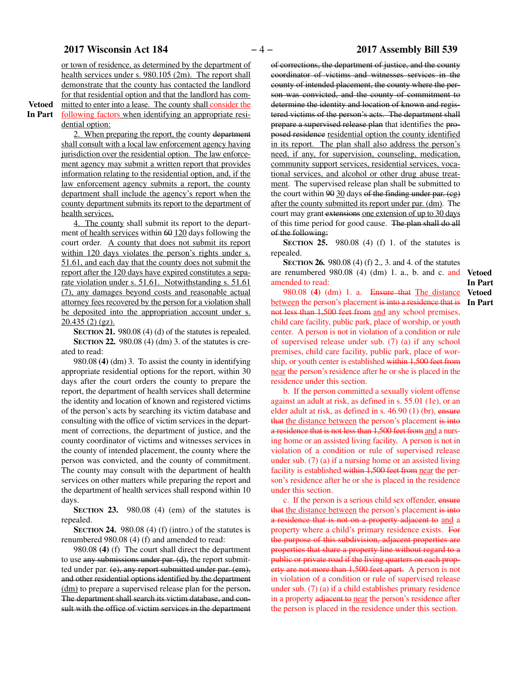or town of residence, as determined by the department of health services under s. 980.105 (2m). The report shall demonstrate that the county has contacted the landlord for that residential option and that the landlord has committed to enter into a lease. The county shall consider the

**Vetoed In Part**

following factors when identifying an appropriate residential option:

2. When preparing the report, the county department shall consult with a local law enforcement agency having jurisdiction over the residential option. The law enforcement agency may submit a written report that provides information relating to the residential option, and, if the law enforcement agency submits a report, the county department shall include the agency's report when the county department submits its report to the department of health services.

4. The county shall submit its report to the department of health services within  $60$  120 days following the court order. A county that does not submit its report within 120 days violates the person's rights under s. 51.61, and each day that the county does not submit the report after the 120 days have expired constitutes a separate violation under s. 51.61. Notwithstanding s. 51.61 (7), any damages beyond costs and reasonable actual attorney fees recovered by the person for a violation shall be deposited into the appropriation account under s. 20.435 (2) (gz).

**SECTION 21.** 980.08 (4) (d) of the statutes is repealed. **SECTION 22.** 980.08 (4) (dm) 3. of the statutes is created to read:

980.08 **(4)** (dm) 3. To assist the county in identifying appropriate residential options for the report, within 30 days after the court orders the county to prepare the report, the department of health services shall determine the identity and location of known and registered victims of the person's acts by searching its victim database and consulting with the office of victim services in the department of corrections, the department of justice, and the county coordinator of victims and witnesses services in the county of intended placement, the county where the person was convicted, and the county of commitment. The county may consult with the department of health services on other matters while preparing the report and the department of health services shall respond within 10 days.

**SECTION 23.** 980.08 (4) (em) of the statutes is repealed.

**SECTION 24.** 980.08 (4) (f) (intro.) of the statutes is renumbered 980.08 (4) (f) and amended to read:

980.08 **(4)** (f) The court shall direct the department to use any submissions under par. (d), the report submitted under par. (e), any report submitted under par. (em), and other residential options identified by the department (dm) to prepare a supervised release plan for the person. The department shall search its victim database, and consult with the office of victim services in the department

of corrections, the department of justice, and the county coordinator of victims and witnesses services in the county of intended placement, the county where the person was convicted, and the county of commitment to determine the identity and location of known and registered victims of the person's acts. The department shall prepare a supervised release plan that identifies the proposed residence residential option the county identified in its report. The plan shall also address the person's need, if any, for supervision, counseling, medication, community support services, residential services, vocational services, and alcohol or other drug abuse treatment. The supervised release plan shall be submitted to the court within  $90$  30 days of the finding under par. (eg) after the county submitted its report under par. (dm). The court may grant extensions one extension of up to 30 days of this time period for good cause. The plan shall do all of the following:

**SECTION 25.** 980.08 (4) (f) 1. of the statutes is repealed.

**SECTION 26.** 980.08 (4) (f) 2., 3. and 4. of the statutes are renumbered 980.08 (4) (dm) 1. a., b. and c. and **Vetoed** amended to read:

980.08 **(4)** (dm) 1. a. Ensure that The distance between the person's placement is into a residence that is **In Part**not less than 1,500 feet from and any school premises, child care facility, public park, place of worship, or youth center. A person is not in violation of a condition or rule of supervised release under sub. (7) (a) if any school premises, child care facility, public park, place of worship, or youth center is established within 1,500 feet from near the person's residence after he or she is placed in the residence under this section.

b. If the person committed a sexually violent offense against an adult at risk, as defined in s. 55.01 (1e), or an elder adult at risk, as defined in s. 46.90 (1) (br), ensure that the distance between the person's placement is into a residence that is not less than 1,500 feet from and a nursing home or an assisted living facility. A person is not in violation of a condition or rule of supervised release under sub. (7) (a) if a nursing home or an assisted living facility is established within 1,500 feet from near the person's residence after he or she is placed in the residence under this section.

c. If the person is a serious child sex offender, ensure that the distance between the person's placement is into a residence that is not on a property adjacent to and a property where a child's primary residence exists. For the purpose of this subdivision, adjacent properties are properties that share a property line without regard to a public or private road if the living quarters on each property are not more than 1,500 feet apart. A person is not in violation of a condition or rule of supervised release under sub. (7) (a) if a child establishes primary residence in a property adjacent to near the person's residence after the person is placed in the residence under this section.

**In Part Vetoed**